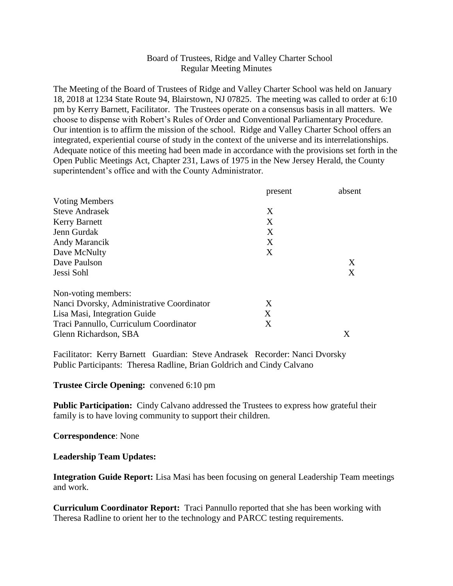## Board of Trustees, Ridge and Valley Charter School Regular Meeting Minutes

The Meeting of the Board of Trustees of Ridge and Valley Charter School was held on January 18, 2018 at 1234 State Route 94, Blairstown, NJ 07825. The meeting was called to order at 6:10 pm by Kerry Barnett, Facilitator. The Trustees operate on a consensus basis in all matters. We choose to dispense with Robert's Rules of Order and Conventional Parliamentary Procedure. Our intention is to affirm the mission of the school. Ridge and Valley Charter School offers an integrated, experiential course of study in the context of the universe and its interrelationships. Adequate notice of this meeting had been made in accordance with the provisions set forth in the Open Public Meetings Act, Chapter 231, Laws of 1975 in the New Jersey Herald, the County superintendent's office and with the County Administrator.

|                                           | present | absent |
|-------------------------------------------|---------|--------|
| <b>Voting Members</b>                     |         |        |
| <b>Steve Andrasek</b>                     | X       |        |
| <b>Kerry Barnett</b>                      | X       |        |
| Jenn Gurdak                               | X       |        |
| Andy Marancik                             | X       |        |
| Dave McNulty                              | X       |        |
| Dave Paulson                              |         | X      |
| Jessi Sohl                                |         | X      |
| Non-voting members:                       |         |        |
| Nanci Dvorsky, Administrative Coordinator | X       |        |
| Lisa Masi, Integration Guide              | X       |        |
| Traci Pannullo, Curriculum Coordinator    | X       |        |
| Glenn Richardson, SBA                     |         | Χ      |

Facilitator: Kerry Barnett Guardian: Steve Andrasek Recorder: Nanci Dvorsky Public Participants: Theresa Radline, Brian Goldrich and Cindy Calvano

**Trustee Circle Opening:** convened 6:10 pm

**Public Participation:** Cindy Calvano addressed the Trustees to express how grateful their family is to have loving community to support their children.

**Correspondence**: None

## **Leadership Team Updates:**

**Integration Guide Report:** Lisa Masi has been focusing on general Leadership Team meetings and work.

**Curriculum Coordinator Report:** Traci Pannullo reported that she has been working with Theresa Radline to orient her to the technology and PARCC testing requirements.